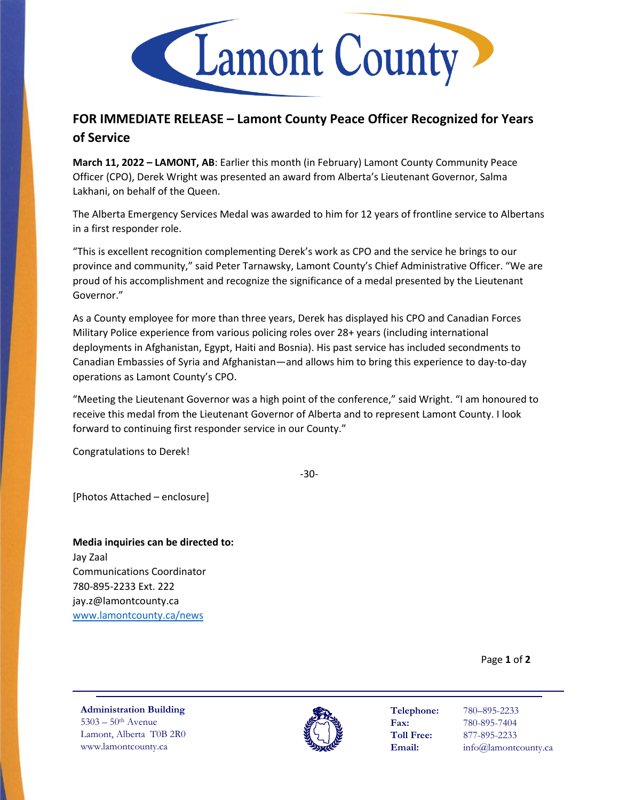

## **FOR IMMEDIATE RELEASE – Lamont County Peace Officer Recognized for Years of Service**

**March 11, 2022 – LAMONT, AB**: Earlier this month (in February) Lamont County Community Peace Officer (CPO), Derek Wright was presented an award from Alberta's Lieutenant Governor, Salma Lakhani, on behalf of the Queen.

The Alberta Emergency Services Medal was awarded to him for 12 years of frontline service to Albertans in a first responder role.

"This is excellent recognition complementing Derek's work as CPO and the service he brings to our province and community," said Peter Tarnawsky, Lamont County's Chief Administrative Officer. "We are proud of his accomplishment and recognize the significance of a medal presented by the Lieutenant Governor."

As a County employee for more than three years, Derek has displayed his CPO and Canadian Forces Military Police experience from various policing roles over 28+ years (including international deployments in Afghanistan, Egypt, Haiti and Bosnia). His past service has included secondments to Canadian Embassies of Syria and Afghanistan—and allows him to bring this experience to day-to-day operations as Lamont County's CPO.

"Meeting the Lieutenant Governor was a high point of the conference," said Wright. "I am honoured to receive this medal from the Lieutenant Governor of Alberta and to represent Lamont County. I look forward to continuing first responder service in our County."

Congratulations to Derek!

-30-

[Photos Attached – enclosure]

**Media inquiries can be directed to:** Jay Zaal Communications Coordinator 780-895-2233 Ext. 222 jay.z@lamontcounty.ca [www.lamontcounty.ca/news](http://www.lamontcounty.ca/news)

Page **1** of **2**

**Administration Building** 5303 – 50th Avenue Lamont, Alberta T0B 2R0 www.lamontcounty.ca



**Telephone:** 780–895-2233 **Fax:** 780-895-7404 **Toll Free:** 877-895-2233 **Email:** info@lamontcounty.ca